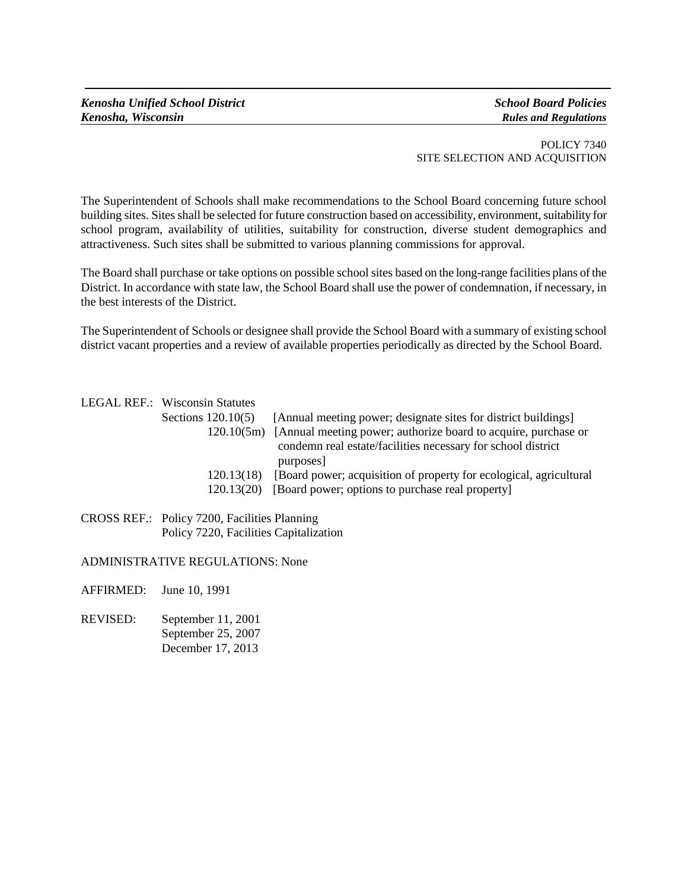POLICY 7340 SITE SELECTION AND ACQUISITION

The Superintendent of Schools shall make recommendations to the School Board concerning future school building sites. Sites shall be selected for future construction based on accessibility, environment, suitability for school program, availability of utilities, suitability for construction, diverse student demographics and attractiveness. Such sites shall be submitted to various planning commissions for approval.

The Board shall purchase or take options on possible school sites based on the long-range facilities plans of the District. In accordance with state law, the School Board shall use the power of condemnation, if necessary, in the best interests of the District.

The Superintendent of Schools or designee shall provide the School Board with a summary of existing school district vacant properties and a review of available properties periodically as directed by the School Board.

LEGAL REF.: Wisconsin Statutes

| Sections $120.10(5)$ |            | [Annual meeting power; designate sites for district buildings]                |
|----------------------|------------|-------------------------------------------------------------------------------|
|                      |            | 120.10(5m) [Annual meeting power; authorize board to acquire, purchase or     |
|                      |            | condemn real estate/facilities necessary for school district                  |
|                      |            | purposes]                                                                     |
|                      |            | 120.13(18) [Board power; acquisition of property for ecological, agricultural |
|                      | 120.13(20) | [Board power; options to purchase real property]                              |

CROSS REF.: Policy 7200, Facilities Planning Policy 7220, Facilities Capitalization

## ADMINISTRATIVE REGULATIONS: None

AFFIRMED: June 10, 1991

REVISED: September 11, 2001 September 25, 2007 December 17, 2013